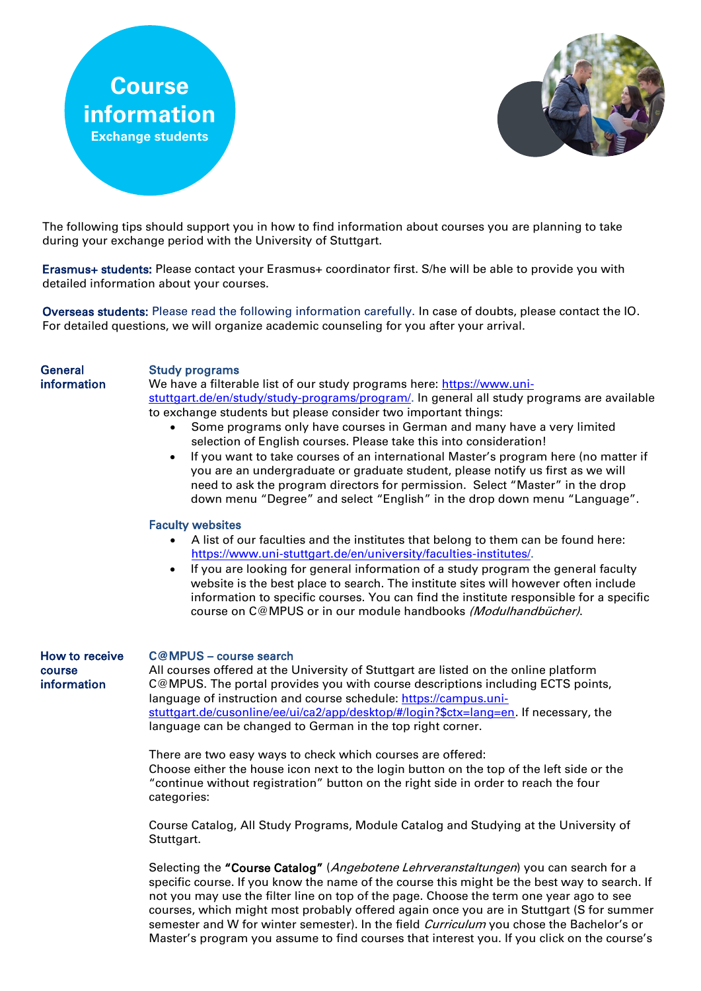



The following tips should support you in how to find information about courses you are planning to take during your exchange period with the University of Stuttgart.

Erasmus+ students: Please contact your Erasmus+ coordinator first. S/he will be able to provide you with detailed information about your courses.

Overseas students: Please read the following information carefully. In case of doubts, please contact the IO. For detailed questions, we will organize academic counseling for you after your arrival.

#### **General** information

### Study programs

We have a filterable list of our study programs here: [https://www.uni](https://www.uni-stuttgart.de/en/study/study-programs/program/)[stuttgart.de/en/study/study-programs/program/.](https://www.uni-stuttgart.de/en/study/study-programs/program/) In general all study programs are available to exchange students but please consider two important things:

- Some programs only have courses in German and many have a very limited selection of English courses. Please take this into consideration!
- If you want to take courses of an international Master's program here (no matter if you are an undergraduate or graduate student, please notify us first as we will need to ask the program directors for permission. Select "Master" in the drop down menu "Degree" and select "English" in the drop down menu "Language".

## Faculty websites

- A list of our faculties and the institutes that belong to them can be found here: [https://www.uni-stuttgart.de/en/university/faculties-institutes/.](https://www.uni-stuttgart.de/en/university/faculties-institutes/)
- If you are looking for general information of a study program the general faculty website is the best place to search. The institute sites will however often include information to specific courses. You can find the institute responsible for a specific course on C@MPUS or in our module handbooks (Modulhandbücher).

How to receive course information

# C@MPUS – course search

All courses offered at the University of Stuttgart are listed on the online platform C@MPUS. The portal provides you with course descriptions including ECTS points, language of instruction and course schedule: [https://campus.uni](https://campus.uni-stuttgart.de/cusonline/ee/ui/ca2/app/desktop/#/login?$ctx=lang=en)[stuttgart.de/cusonline/ee/ui/ca2/app/desktop/#/login?\\$ctx=lang=en.](https://campus.uni-stuttgart.de/cusonline/ee/ui/ca2/app/desktop/#/login?$ctx=lang=en) If necessary, the language can be changed to German in the top right corner.

There are two easy ways to check which courses are offered: Choose either the house icon next to the login button on the top of the left side or the "continue without registration" button on the right side in order to reach the four categories:

Course Catalog, All Study Programs, Module Catalog and Studying at the University of Stuttgart.

Selecting the "Course Catalog" (Angebotene Lehrveranstaltungen) you can search for a specific course. If you know the name of the course this might be the best way to search. If not you may use the filter line on top of the page. Choose the term one year ago to see courses, which might most probably offered again once you are in Stuttgart (S for summer semester and W for winter semester). In the field *Curriculum* you chose the Bachelor's or Master's program you assume to find courses that interest you. If you click on the course's